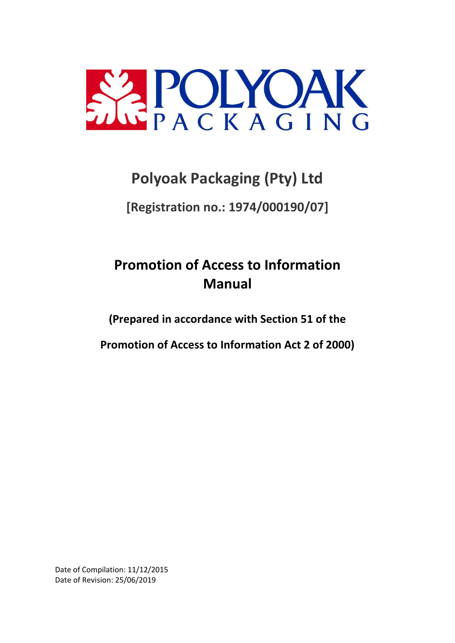

# **Polyoak Packaging (Pty) Ltd**

**[Registration no.: 1974/000190/07]**

# **Promotion of Access to Information Manual**

**(Prepared in accordance with Section 51 of the**

**Promotion of Access to Information Act 2 of 2000)**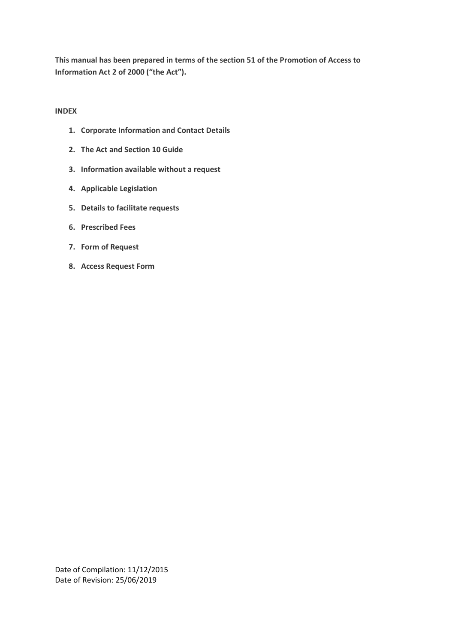**This manual has been prepared in terms of the section 51 of the Promotion of Access to Information Act 2 of 2000 ("the Act").**

## **INDEX**

- **1. Corporate Information and Contact Details**
- **2. The Act and Section 10 Guide**
- **3. Information available without a request**
- **4. Applicable Legislation**
- **5. Details to facilitate requests**
- **6. Prescribed Fees**
- **7. Form of Request**
- **8. Access Request Form**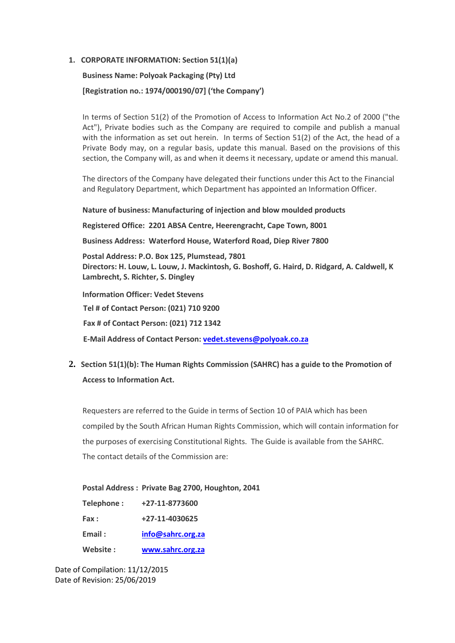#### **1. CORPORATE INFORMATION: Section 51(1)(a)**

# **Business Name: Polyoak Packaging (Pty) Ltd [Registration no.: 1974/000190/07] ('the Company')**

In terms of Section 51(2) of the Promotion of Access to Information Act No.2 of 2000 ("the Act"), Private bodies such as the Company are required to compile and publish a manual with the information as set out herein. In terms of Section 51(2) of the Act, the head of a Private Body may, on a regular basis, update this manual. Based on the provisions of this section, the Company will, as and when it deems it necessary, update or amend this manual.

The directors of the Company have delegated their functions under this Act to the Financial and Regulatory Department, which Department has appointed an Information Officer.

**Nature of business: Manufacturing of injection and blow moulded products**

**Registered Office: 2201 ABSA Centre, Heerengracht, Cape Town, 8001**

**Business Address: Waterford House, Waterford Road, Diep River 7800** 

**Postal Address: P.O. Box 125, Plumstead, 7801 Directors: H. Louw, L. Louw, J. Mackintosh, G. Boshoff, G. Haird, D. Ridgard, A. Caldwell, K Lambrecht, S. Richter, S. Dingley**

**Information Officer: Vedet Stevens**

**Tel # of Contact Person: (021) 710 9200**

**Fax # of Contact Person: (021) 712 1342**

**E-Mail Address of Contact Person: [vedet.stevens@polyoak.co.za](mailto:Tracy.Huntingford@polyoak.co.za)**

**2. Section 51(1)(b): The Human Rights Commission (SAHRC) has a guide to the Promotion of Access to Information Act.**

Requesters are referred to the Guide in terms of Section 10 of PAIA which has been compiled by the South African Human Rights Commission, which will contain information for the purposes of exercising Constitutional Rights. The Guide is available from the SAHRC. The contact details of the Commission are:

#### **Postal Address : Private Bag 2700, Houghton, 2041**

| Telephone: | +27-11-8773600    |
|------------|-------------------|
| Fax :      | +27-11-4030625    |
| Email:     | info@sahrc.org.za |
| Website:   | www.sahrc.org.za  |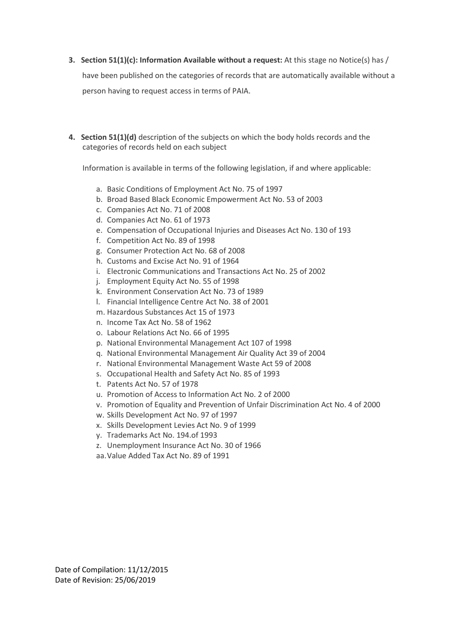**3. Section 51(1)(c): Information Available without a request:** At this stage no Notice(s) has /

have been published on the categories of records that are automatically available without a person having to request access in terms of PAIA.

**4. Section 51(1)(d)** description of the subjects on which the body holds records and the categories of records held on each subject

Information is available in terms of the following legislation, if and where applicable:

- a. Basic Conditions of Employment Act No. 75 of 1997
- b. Broad Based Black Economic Empowerment Act No. 53 of 2003
- c. Companies Act No. 71 of 2008
- d. Companies Act No. 61 of 1973
- e. Compensation of Occupational Injuries and Diseases Act No. 130 of 193
- f. Competition Act No. 89 of 1998
- g. Consumer Protection Act No. 68 of 2008
- h. Customs and Excise Act No. 91 of 1964
- i. Electronic Communications and Transactions Act No. 25 of 2002
- j. Employment Equity Act No. 55 of 1998
- k. Environment Conservation Act No. 73 of 1989
- l. Financial Intelligence Centre Act No. 38 of 2001
- m. Hazardous Substances Act 15 of 1973
- n. Income Tax Act No. 58 of 1962
- o. Labour Relations Act No. 66 of 1995
- p. National Environmental Management Act 107 of 1998
- q. National Environmental Management Air Quality Act 39 of 2004
- r. National Environmental Management Waste Act 59 of 2008
- s. Occupational Health and Safety Act No. 85 of 1993
- t. Patents Act No. 57 of 1978
- u. Promotion of Access to Information Act No. 2 of 2000
- v. Promotion of Equality and Prevention of Unfair Discrimination Act No. 4 of 2000
- w. Skills Development Act No. 97 of 1997
- x. Skills Development Levies Act No. 9 of 1999
- y. Trademarks Act No. 194.of 1993
- z. Unemployment Insurance Act No. 30 of 1966
- aa.Value Added Tax Act No. 89 of 1991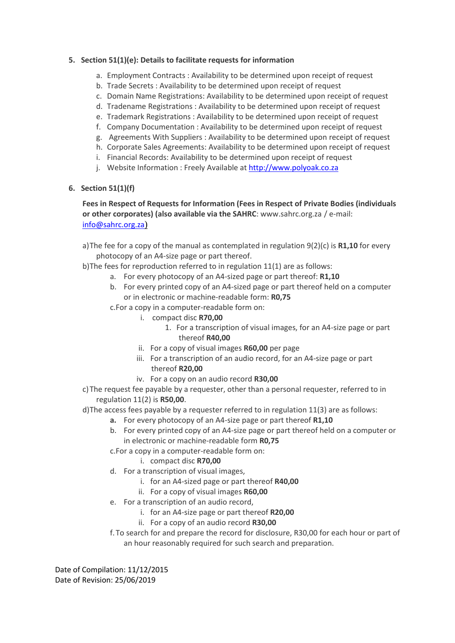## **5. Section 51(1)(e): Details to facilitate requests for information**

- a. Employment Contracts : Availability to be determined upon receipt of request
- b. Trade Secrets : Availability to be determined upon receipt of request
- c. Domain Name Registrations: Availability to be determined upon receipt of request
- d. Tradename Registrations : Availability to be determined upon receipt of request
- e. Trademark Registrations : Availability to be determined upon receipt of request
- f. Company Documentation : Availability to be determined upon receipt of request
- g. Agreements With Suppliers : Availability to be determined upon receipt of request
- h. Corporate Sales Agreements: Availability to be determined upon receipt of request
- i. Financial Records: Availability to be determined upon receipt of request
- j. Website Information : Freely Available a[t http://www.polyoak.co.za](http://www.polyoak.co.za/)

# **6. Section 51(1)(f)**

**Fees in Respect of Requests for Information (Fees in Respect of Private Bodies (individuals or other corporates) (also available via the SAHRC**: [www.sahrc.org.za](http://www.sahrc.org.za/) / e-mail: [info@sahrc.org.za](mailto:info@sahrc.org.za))

a)The fee for a copy of the manual as contemplated in regulation 9(2)(c) is **R1,10** for every photocopy of an A4-size page or part thereof.

- b)The fees for reproduction referred to in regulation 11(1) are as follows:
	- a. For every photocopy of an A4-sized page or part thereof: **R1,10**
	- b. For every printed copy of an A4-sized page or part thereof held on a computer or in electronic or machine-readable form: **R0,75**
	- c.For a copy in a computer-readable form on:
		- i. compact disc **R70,00**
			- 1. For a transcription of visual images, for an A4-size page or part thereof **R40,00**
		- ii. For a copy of visual images **R60,00** per page
		- iii. For a transcription of an audio record, for an A4-size page or part thereof **R20,00**
		- iv. For a copy on an audio record **R30,00**
- c)The request fee payable by a requester, other than a personal requester, referred to in regulation 11(2) is **R50,00**.

d)The access fees payable by a requester referred to in regulation 11(3) are as follows:

- **a.** For every photocopy of an A4-size page or part thereof **R1,10**
- b. For every printed copy of an A4-size page or part thereof held on a computer or in electronic or machine-readable form **R0,75**

c.For a copy in a computer-readable form on:

- i. compact disc **R70,00**
- d. For a transcription of visual images,
	- i. for an A4-sized page or part thereof **R40,00**
	- ii. For a copy of visual images **R60,00**
- e. For a transcription of an audio record,
	- i. for an A4-size page or part thereof **R20,00**
	- ii. For a copy of an audio record **R30,00**
- f.To search for and prepare the record for disclosure, R30,00 for each hour or part of an hour reasonably required for such search and preparation.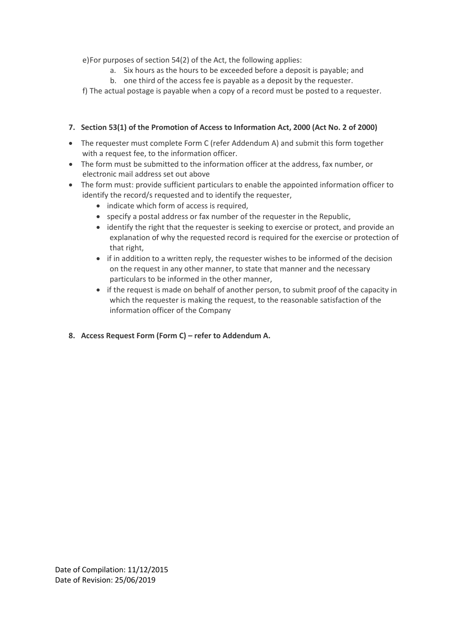e)For purposes of section 54(2) of the Act, the following applies:

- a. Six hours as the hours to be exceeded before a deposit is payable; and
- b. one third of the access fee is payable as a deposit by the requester.

f) The actual postage is payable when a copy of a record must be posted to a requester.

## **7. Section 53(1) of the Promotion of Access to Information Act, 2000 (Act No. 2 of 2000)**

- The requester must complete Form C (refer Addendum A) and submit this form together with a request fee, to the information officer.
- The form must be submitted to the information officer at the address, fax number, or electronic mail address set out above
- The form must: provide sufficient particulars to enable the appointed information officer to identify the record/s requested and to identify the requester,
	- indicate which form of access is required,
	- specify a postal address or fax number of the requester in the Republic,
	- identify the right that the requester is seeking to exercise or protect, and provide an explanation of why the requested record is required for the exercise or protection of that right,
	- if in addition to a written reply, the requester wishes to be informed of the decision on the request in any other manner, to state that manner and the necessary particulars to be informed in the other manner,
	- if the request is made on behalf of another person, to submit proof of the capacity in which the requester is making the request, to the reasonable satisfaction of the information officer of the Company
- **8. Access Request Form (Form C) refer to Addendum A.**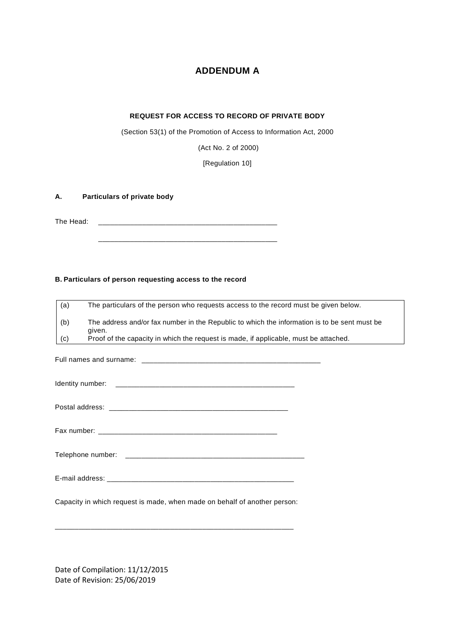# **ADDENDUM A**

#### **REQUEST FOR ACCESS TO RECORD OF PRIVATE BODY**

(Section 53(1) of the Promotion of Access to Information Act, 2000

(Act No. 2 of 2000)

[Regulation 10]

# **A. Particulars of private body**

The Head: \_\_\_\_\_\_\_\_\_\_\_\_\_\_\_\_\_\_\_\_\_\_\_\_\_\_\_\_\_\_\_\_\_\_\_\_\_\_\_\_\_\_\_\_\_

\_\_\_\_\_\_\_\_\_\_\_\_\_\_\_\_\_\_\_\_\_\_\_\_\_\_\_\_\_\_\_\_\_\_\_\_\_\_\_\_\_\_\_\_\_

#### **B. Particulars of person requesting access to the record**

| (a) | The particulars of the person who requests access to the record must be given below.         |
|-----|----------------------------------------------------------------------------------------------|
| (b) | The address and/or fax number in the Republic to which the information is to be sent must be |
|     | given.                                                                                       |
| (c) | Proof of the capacity in which the request is made, if applicable, must be attached.         |
|     |                                                                                              |
|     |                                                                                              |
|     |                                                                                              |
|     |                                                                                              |
|     |                                                                                              |
|     |                                                                                              |
|     |                                                                                              |
|     |                                                                                              |
|     |                                                                                              |
|     |                                                                                              |
|     |                                                                                              |
|     |                                                                                              |
|     |                                                                                              |
|     |                                                                                              |
|     | Capacity in which request is made, when made on behalf of another person:                    |
|     |                                                                                              |
|     |                                                                                              |
|     |                                                                                              |
|     |                                                                                              |
|     |                                                                                              |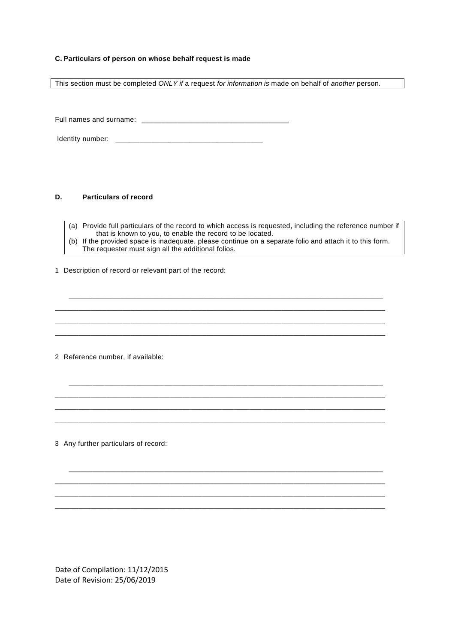#### **C. Particulars of person on whose behalf request is made**

This section must be completed *ONLY if* a request *for information is* made on behalf of *another* person.

Full names and surname: \_\_\_\_\_\_\_\_\_\_\_\_\_\_\_\_\_\_\_\_\_\_\_\_\_\_\_\_\_\_\_\_\_\_\_\_\_

Identity number: \_\_\_\_\_\_\_\_\_\_\_\_\_\_\_\_\_\_\_\_\_\_\_\_\_\_\_\_\_\_\_\_\_\_\_\_\_

#### **D. Particulars of record**

(a) Provide full particulars of the record to which access is requested, including the reference number if that is known to you, to enable the record to be located. (b) If the provided space is inadequate, please continue on a separate folio and attach it to this form. The requester must sign all the additional folios.

\_\_\_\_\_\_\_\_\_\_\_\_\_\_\_\_\_\_\_\_\_\_\_\_\_\_\_\_\_\_\_\_\_\_\_\_\_\_\_\_\_\_\_\_\_\_\_\_\_\_\_\_\_\_\_\_\_\_\_\_\_\_\_\_\_\_\_\_\_\_\_\_\_\_\_\_\_\_\_ \_\_\_\_\_\_\_\_\_\_\_\_\_\_\_\_\_\_\_\_\_\_\_\_\_\_\_\_\_\_\_\_\_\_\_\_\_\_\_\_\_\_\_\_\_\_\_\_\_\_\_\_\_\_\_\_\_\_\_\_\_\_\_\_\_\_\_\_\_\_\_\_\_\_\_\_\_\_\_\_\_\_\_ \_\_\_\_\_\_\_\_\_\_\_\_\_\_\_\_\_\_\_\_\_\_\_\_\_\_\_\_\_\_\_\_\_\_\_\_\_\_\_\_\_\_\_\_\_\_\_\_\_\_\_\_\_\_\_\_\_\_\_\_\_\_\_\_\_\_\_\_\_\_\_\_\_\_\_\_\_\_\_\_\_\_\_ \_\_\_\_\_\_\_\_\_\_\_\_\_\_\_\_\_\_\_\_\_\_\_\_\_\_\_\_\_\_\_\_\_\_\_\_\_\_\_\_\_\_\_\_\_\_\_\_\_\_\_\_\_\_\_\_\_\_\_\_\_\_\_\_\_\_\_\_\_\_\_\_\_\_\_\_\_\_\_\_\_\_\_

\_\_\_\_\_\_\_\_\_\_\_\_\_\_\_\_\_\_\_\_\_\_\_\_\_\_\_\_\_\_\_\_\_\_\_\_\_\_\_\_\_\_\_\_\_\_\_\_\_\_\_\_\_\_\_\_\_\_\_\_\_\_\_\_\_\_\_\_\_\_\_\_\_\_\_\_\_\_\_ \_\_\_\_\_\_\_\_\_\_\_\_\_\_\_\_\_\_\_\_\_\_\_\_\_\_\_\_\_\_\_\_\_\_\_\_\_\_\_\_\_\_\_\_\_\_\_\_\_\_\_\_\_\_\_\_\_\_\_\_\_\_\_\_\_\_\_\_\_\_\_\_\_\_\_\_\_\_\_\_\_\_\_ \_\_\_\_\_\_\_\_\_\_\_\_\_\_\_\_\_\_\_\_\_\_\_\_\_\_\_\_\_\_\_\_\_\_\_\_\_\_\_\_\_\_\_\_\_\_\_\_\_\_\_\_\_\_\_\_\_\_\_\_\_\_\_\_\_\_\_\_\_\_\_\_\_\_\_\_\_\_\_\_\_\_\_ \_\_\_\_\_\_\_\_\_\_\_\_\_\_\_\_\_\_\_\_\_\_\_\_\_\_\_\_\_\_\_\_\_\_\_\_\_\_\_\_\_\_\_\_\_\_\_\_\_\_\_\_\_\_\_\_\_\_\_\_\_\_\_\_\_\_\_\_\_\_\_\_\_\_\_\_\_\_\_\_\_\_\_

\_\_\_\_\_\_\_\_\_\_\_\_\_\_\_\_\_\_\_\_\_\_\_\_\_\_\_\_\_\_\_\_\_\_\_\_\_\_\_\_\_\_\_\_\_\_\_\_\_\_\_\_\_\_\_\_\_\_\_\_\_\_\_\_\_\_\_\_\_\_\_\_\_\_\_\_\_\_\_ \_\_\_\_\_\_\_\_\_\_\_\_\_\_\_\_\_\_\_\_\_\_\_\_\_\_\_\_\_\_\_\_\_\_\_\_\_\_\_\_\_\_\_\_\_\_\_\_\_\_\_\_\_\_\_\_\_\_\_\_\_\_\_\_\_\_\_\_\_\_\_\_\_\_\_\_\_\_\_\_\_\_\_ \_\_\_\_\_\_\_\_\_\_\_\_\_\_\_\_\_\_\_\_\_\_\_\_\_\_\_\_\_\_\_\_\_\_\_\_\_\_\_\_\_\_\_\_\_\_\_\_\_\_\_\_\_\_\_\_\_\_\_\_\_\_\_\_\_\_\_\_\_\_\_\_\_\_\_\_\_\_\_\_\_\_\_ \_\_\_\_\_\_\_\_\_\_\_\_\_\_\_\_\_\_\_\_\_\_\_\_\_\_\_\_\_\_\_\_\_\_\_\_\_\_\_\_\_\_\_\_\_\_\_\_\_\_\_\_\_\_\_\_\_\_\_\_\_\_\_\_\_\_\_\_\_\_\_\_\_\_\_\_\_\_\_\_\_\_\_

1 Description of record or relevant part of the record:

2 Reference number, if available:

3 Any further particulars of record: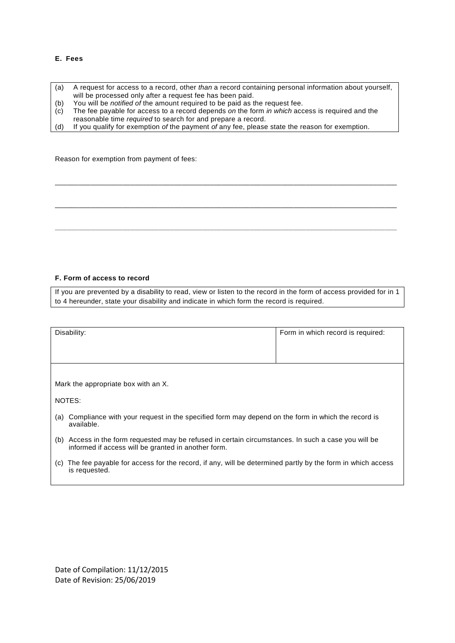#### **E. Fees**

(a) A request for access to a record, other *than* a record containing personal information about yourself, will be processed only after a request fee has been paid. (b) You will be *notified of* the amount required to be paid as the request fee. (c) The fee payable for access to a record depends *on* the form *in which* access is required and the reasonable time *required* to search for and prepare a record. (d) If you qualify for exemption *of* the payment *of* any fee, please state the reason for exemption.

\_\_\_\_\_\_\_\_\_\_\_\_\_\_\_\_\_\_\_\_\_\_\_\_\_\_\_\_\_\_\_\_\_\_\_\_\_\_\_\_\_\_\_\_\_\_\_\_\_\_\_\_\_\_\_\_\_\_\_\_\_\_\_\_\_\_\_\_\_\_\_\_\_\_\_\_\_\_\_\_\_\_\_\_\_\_

\_\_\_\_\_\_\_\_\_\_\_\_\_\_\_\_\_\_\_\_\_\_\_\_\_\_\_\_\_\_\_\_\_\_\_\_\_\_\_\_\_\_\_\_\_\_\_\_\_\_\_\_\_\_\_\_\_\_\_\_\_\_\_\_\_\_\_\_\_\_\_\_\_\_\_\_\_\_\_\_\_\_\_\_\_\_

**\_\_\_\_\_\_\_\_\_\_\_\_\_\_\_\_\_\_\_\_\_\_\_\_\_\_\_\_\_\_\_\_\_\_\_\_\_\_\_\_\_\_\_\_\_\_\_\_\_\_\_\_\_\_\_\_\_\_\_\_\_\_\_\_\_\_\_\_\_\_\_\_\_\_\_\_\_\_\_\_\_\_\_\_\_\_**

Reason for exemption from payment of fees:

#### **F. Form of access to record**

If you are prevented by a disability to read, view or listen to the record in the form of access provided for in 1 to 4 hereunder, state your disability and indicate in which form the record is required.

| Disability:                                                                                                                                                 | Form in which record is required: |  |
|-------------------------------------------------------------------------------------------------------------------------------------------------------------|-----------------------------------|--|
| Mark the appropriate box with an X.                                                                                                                         |                                   |  |
| NOTES:                                                                                                                                                      |                                   |  |
| Compliance with your request in the specified form may depend on the form in which the record is<br>(a)<br>available.                                       |                                   |  |
| (b) Access in the form requested may be refused in certain circumstances. In such a case you will be<br>informed if access will be granted in another form. |                                   |  |
| The fee payable for access for the record, if any, will be determined partly by the form in which access<br>(C)<br>is requested.                            |                                   |  |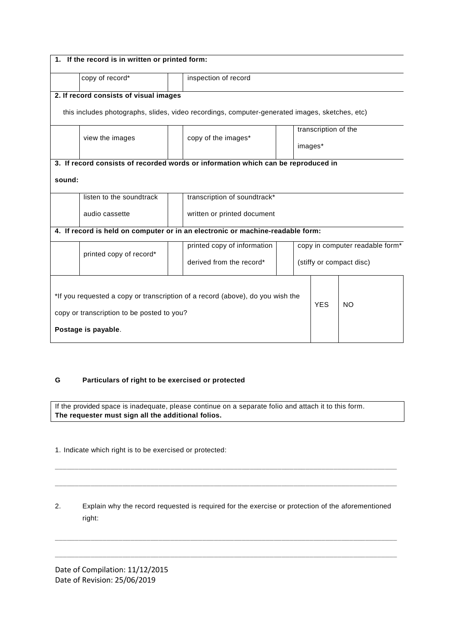| 1. If the record is in written or printed form:                                                |                                        |                                                                                   |                                 |         |  |  |  |
|------------------------------------------------------------------------------------------------|----------------------------------------|-----------------------------------------------------------------------------------|---------------------------------|---------|--|--|--|
|                                                                                                | copy of record*                        | inspection of record                                                              |                                 |         |  |  |  |
|                                                                                                | 2. If record consists of visual images |                                                                                   |                                 |         |  |  |  |
| this includes photographs, slides, video recordings, computer-generated images, sketches, etc) |                                        |                                                                                   |                                 |         |  |  |  |
|                                                                                                |                                        |                                                                                   | transcription of the            |         |  |  |  |
|                                                                                                | view the images                        | copy of the images*                                                               |                                 | images* |  |  |  |
|                                                                                                |                                        | 3. If record consists of recorded words or information which can be reproduced in |                                 |         |  |  |  |
| sound:                                                                                         |                                        |                                                                                   |                                 |         |  |  |  |
|                                                                                                | listen to the soundtrack               | transcription of soundtrack*                                                      |                                 |         |  |  |  |
|                                                                                                | audio cassette                         | written or printed document                                                       |                                 |         |  |  |  |
| 4. If record is held on computer or in an electronic or machine-readable form:                 |                                        |                                                                                   |                                 |         |  |  |  |
| printed copy of record*                                                                        | printed copy of information            |                                                                                   | copy in computer readable form* |         |  |  |  |
|                                                                                                | derived from the record*               |                                                                                   | (stiffy or compact disc)        |         |  |  |  |
|                                                                                                |                                        |                                                                                   |                                 |         |  |  |  |
| *If you requested a copy or transcription of a record (above), do you wish the                 |                                        |                                                                                   |                                 |         |  |  |  |
| copy or transcription to be posted to you?                                                     |                                        |                                                                                   | <b>YES</b>                      | NO.     |  |  |  |
| Postage is payable.                                                                            |                                        |                                                                                   |                                 |         |  |  |  |

#### **G Particulars of right to be exercised or protected**

If the provided space is inadequate, please continue on a separate folio and attach it to this form. **The requester must sign all the additional folios.**

1. Indicate which right is to be exercised or protected:

| 2. | Explain why the record requested is required for the exercise or protection of the aforementioned |
|----|---------------------------------------------------------------------------------------------------|
|    | right:                                                                                            |

**\_\_\_\_\_\_\_\_\_\_\_\_\_\_\_\_\_\_\_\_\_\_\_\_\_\_\_\_\_\_\_\_\_\_\_\_\_\_\_\_\_\_\_\_\_\_\_\_\_\_\_\_\_\_\_\_\_\_\_\_\_\_\_\_\_\_\_\_\_\_\_\_\_\_\_\_\_\_\_\_\_\_\_\_\_\_**

**\_\_\_\_\_\_\_\_\_\_\_\_\_\_\_\_\_\_\_\_\_\_\_\_\_\_\_\_\_\_\_\_\_\_\_\_\_\_\_\_\_\_\_\_\_\_\_\_\_\_\_\_\_\_\_\_\_\_\_\_\_\_\_\_\_\_\_\_\_\_\_\_\_\_\_\_\_\_\_\_\_\_\_\_\_\_**

**\_\_\_\_\_\_\_\_\_\_\_\_\_\_\_\_\_\_\_\_\_\_\_\_\_\_\_\_\_\_\_\_\_\_\_\_\_\_\_\_\_\_\_\_\_\_\_\_\_\_\_\_\_\_\_\_\_\_\_\_\_\_\_\_\_\_\_\_\_\_\_\_\_\_\_\_\_\_\_\_\_\_\_\_\_\_**

**\_\_\_\_\_\_\_\_\_\_\_\_\_\_\_\_\_\_\_\_\_\_\_\_\_\_\_\_\_\_\_\_\_\_\_\_\_\_\_\_\_\_\_\_\_\_\_\_\_\_\_\_\_\_\_\_\_\_\_\_\_\_\_\_\_\_\_\_\_\_\_\_\_\_\_\_\_\_\_\_\_\_\_\_\_\_**